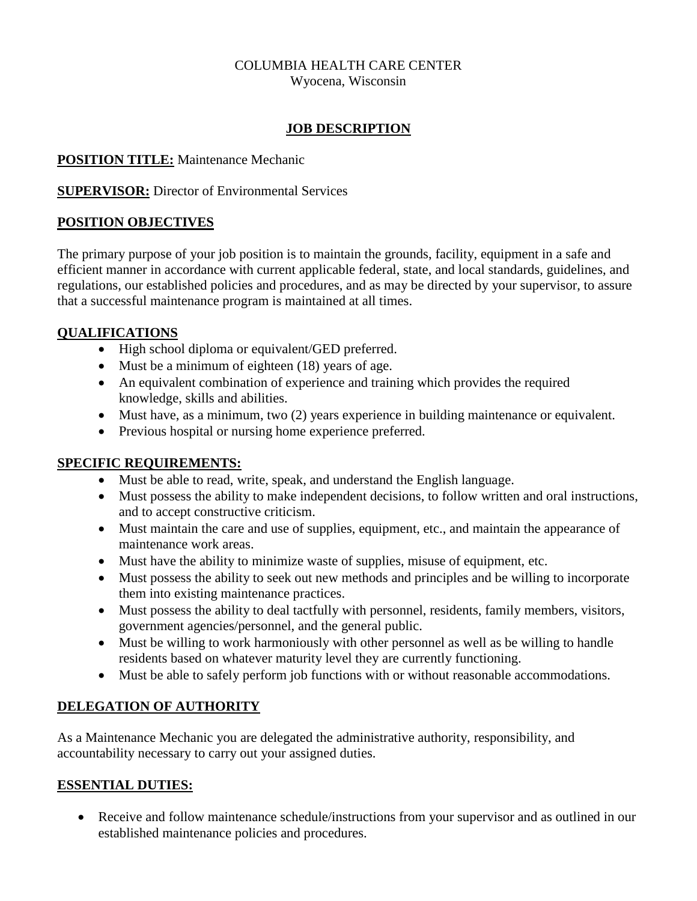# COLUMBIA HEALTH CARE CENTER

Wyocena, Wisconsin

#### **JOB DESCRIPTION**

#### **POSITION TITLE:** Maintenance Mechanic

**SUPERVISOR:** Director of Environmental Services

# **POSITION OBJECTIVES**

The primary purpose of your job position is to maintain the grounds, facility, equipment in a safe and efficient manner in accordance with current applicable federal, state, and local standards, guidelines, and regulations, our established policies and procedures, and as may be directed by your supervisor, to assure that a successful maintenance program is maintained at all times.

#### **QUALIFICATIONS**

- High school diploma or equivalent/GED preferred.
- Must be a minimum of eighteen (18) years of age.
- An equivalent combination of experience and training which provides the required knowledge, skills and abilities.
- Must have, as a minimum, two (2) years experience in building maintenance or equivalent.
- Previous hospital or nursing home experience preferred.

# **SPECIFIC REQUIREMENTS:**

- Must be able to read, write, speak, and understand the English language.
- Must possess the ability to make independent decisions, to follow written and oral instructions, and to accept constructive criticism.
- Must maintain the care and use of supplies, equipment, etc., and maintain the appearance of maintenance work areas.
- Must have the ability to minimize waste of supplies, misuse of equipment, etc.
- Must possess the ability to seek out new methods and principles and be willing to incorporate them into existing maintenance practices.
- Must possess the ability to deal tactfully with personnel, residents, family members, visitors, government agencies/personnel, and the general public.
- Must be willing to work harmoniously with other personnel as well as be willing to handle residents based on whatever maturity level they are currently functioning.
- Must be able to safely perform job functions with or without reasonable accommodations.

# **DELEGATION OF AUTHORITY**

As a Maintenance Mechanic you are delegated the administrative authority, responsibility, and accountability necessary to carry out your assigned duties.

# **ESSENTIAL DUTIES:**

• Receive and follow maintenance schedule/instructions from your supervisor and as outlined in our established maintenance policies and procedures.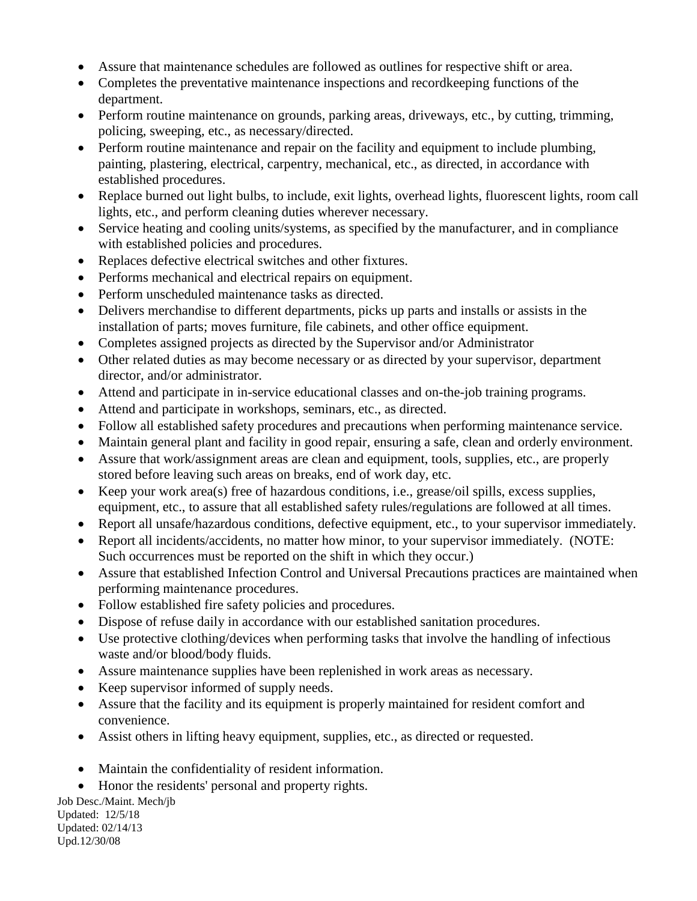- Assure that maintenance schedules are followed as outlines for respective shift or area.
- Completes the preventative maintenance inspections and recordkeeping functions of the department.
- Perform routine maintenance on grounds, parking areas, driveways, etc., by cutting, trimming, policing, sweeping, etc., as necessary/directed.
- Perform routine maintenance and repair on the facility and equipment to include plumbing, painting, plastering, electrical, carpentry, mechanical, etc., as directed, in accordance with established procedures.
- Replace burned out light bulbs, to include, exit lights, overhead lights, fluorescent lights, room call lights, etc., and perform cleaning duties wherever necessary.
- Service heating and cooling units/systems, as specified by the manufacturer, and in compliance with established policies and procedures.
- Replaces defective electrical switches and other fixtures.
- Performs mechanical and electrical repairs on equipment.
- Perform unscheduled maintenance tasks as directed.
- Delivers merchandise to different departments, picks up parts and installs or assists in the installation of parts; moves furniture, file cabinets, and other office equipment.
- Completes assigned projects as directed by the Supervisor and/or Administrator
- Other related duties as may become necessary or as directed by your supervisor, department director, and/or administrator.
- Attend and participate in in-service educational classes and on-the-job training programs.
- Attend and participate in workshops, seminars, etc., as directed.
- Follow all established safety procedures and precautions when performing maintenance service.
- Maintain general plant and facility in good repair, ensuring a safe, clean and orderly environment.
- Assure that work/assignment areas are clean and equipment, tools, supplies, etc., are properly stored before leaving such areas on breaks, end of work day, etc.
- Keep your work area(s) free of hazardous conditions, i.e., grease/oil spills, excess supplies, equipment, etc., to assure that all established safety rules/regulations are followed at all times.
- Report all unsafe/hazardous conditions, defective equipment, etc., to your supervisor immediately.
- Report all incidents/accidents, no matter how minor, to your supervisor immediately. (NOTE: Such occurrences must be reported on the shift in which they occur.)
- Assure that established Infection Control and Universal Precautions practices are maintained when performing maintenance procedures.
- Follow established fire safety policies and procedures.
- Dispose of refuse daily in accordance with our established sanitation procedures.
- Use protective clothing/devices when performing tasks that involve the handling of infectious waste and/or blood/body fluids.
- Assure maintenance supplies have been replenished in work areas as necessary.
- Keep supervisor informed of supply needs.
- Assure that the facility and its equipment is properly maintained for resident comfort and convenience.
- Assist others in lifting heavy equipment, supplies, etc., as directed or requested.
- Maintain the confidentiality of resident information.
- Honor the residents' personal and property rights.

Job Desc./Maint. Mech/jb Updated: 12/5/18 Updated: 02/14/13 Upd.12/30/08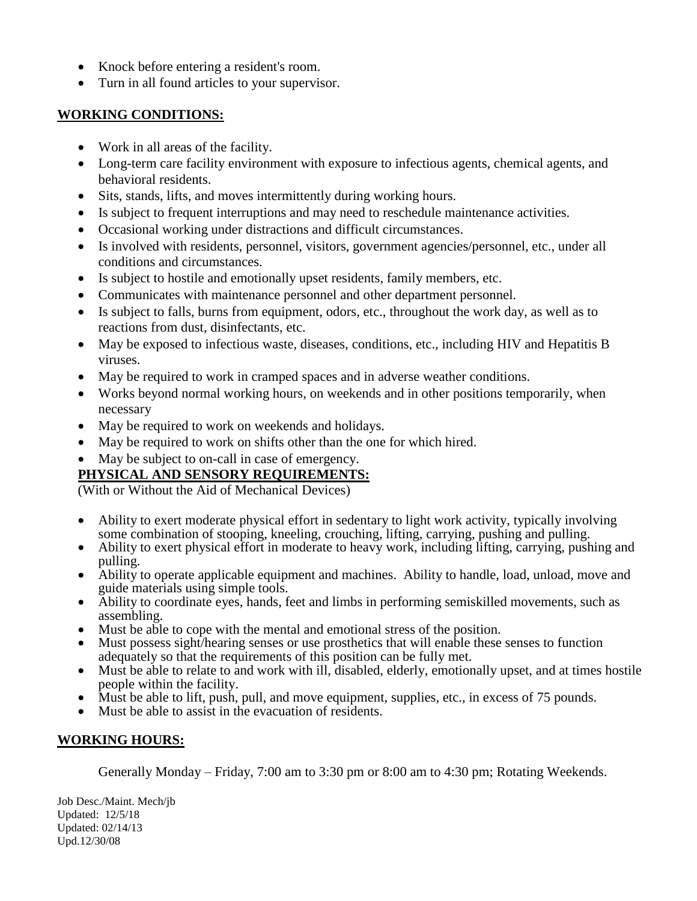- Knock before entering a resident's room.
- Turn in all found articles to your supervisor.

#### **WORKING CONDITIONS:**

- Work in all areas of the facility.
- Long-term care facility environment with exposure to infectious agents, chemical agents, and behavioral residents.
- Sits, stands, lifts, and moves intermittently during working hours.
- Is subject to frequent interruptions and may need to reschedule maintenance activities.
- Occasional working under distractions and difficult circumstances.
- Is involved with residents, personnel, visitors, government agencies/personnel, etc., under all conditions and circumstances.
- Is subject to hostile and emotionally upset residents, family members, etc.
- Communicates with maintenance personnel and other department personnel.
- Is subject to falls, burns from equipment, odors, etc., throughout the work day, as well as to reactions from dust, disinfectants, etc.
- May be exposed to infectious waste, diseases, conditions, etc., including HIV and Hepatitis B viruses.
- May be required to work in cramped spaces and in adverse weather conditions.
- Works beyond normal working hours, on weekends and in other positions temporarily, when necessary
- May be required to work on weekends and holidays.
- May be required to work on shifts other than the one for which hired.
- May be subject to on-call in case of emergency.

# **PHYSICAL AND SENSORY REQUIREMENTS:**

(With or Without the Aid of Mechanical Devices)

- Ability to exert moderate physical effort in sedentary to light work activity, typically involving some combination of stooping, kneeling, crouching, lifting, carrying, pushing and pulling.
- Ability to exert physical effort in moderate to heavy work, including lifting, carrying, pushing and pulling.
- Ability to operate applicable equipment and machines. Ability to handle, load, unload, move and guide materials using simple tools.
- Ability to coordinate eyes, hands, feet and limbs in performing semiskilled movements, such as assembling.
- Must be able to cope with the mental and emotional stress of the position.
- Must possess sight/hearing senses or use prosthetics that will enable these senses to function adequately so that the requirements of this position can be fully met.
- Must be able to relate to and work with ill, disabled, elderly, emotionally upset, and at times hostile people within the facility.
- Must be able to lift, push, pull, and move equipment, supplies, etc., in excess of 75 pounds.
- Must be able to assist in the evacuation of residents.

# **WORKING HOURS:**

Generally Monday – Friday, 7:00 am to 3:30 pm or 8:00 am to 4:30 pm; Rotating Weekends.

Job Desc./Maint. Mech/jb Updated: 12/5/18 Updated: 02/14/13 Upd.12/30/08